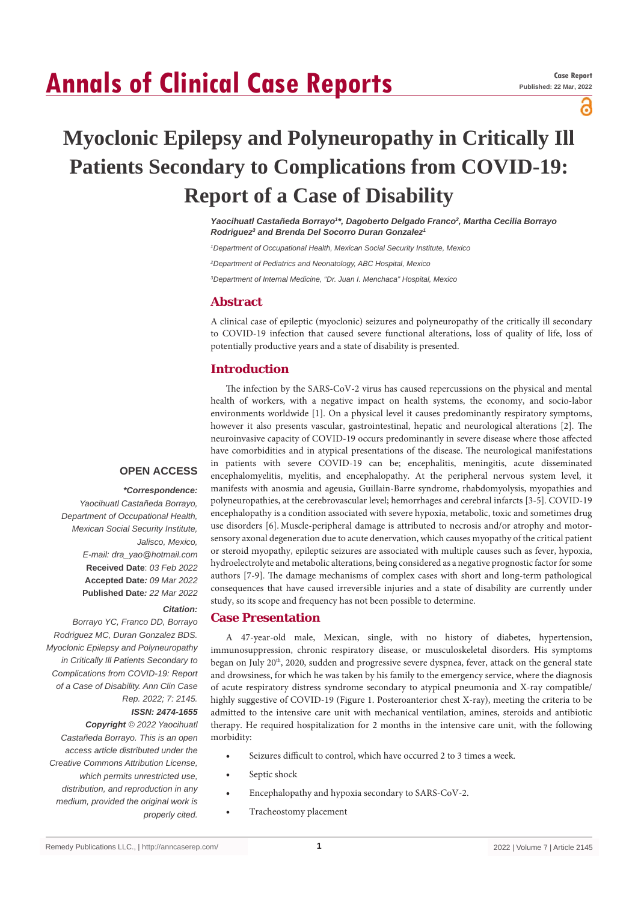# **Annals of Clinical Case Reports**

പ്പ

## **Myoclonic Epilepsy and Polyneuropathy in Critically Ill Patients Secondary to Complications from COVID-19: Report of a Case of Disability**

*Yaocihuatl Castañeda Borrayo1 \*, Dagoberto Delgado Franco2 , Martha Cecilia Borrayo*  **Rodriguez<sup>3</sup> and Brenda Del Socorro Duran Gonzalez<sup>1</sup>** 

*1 Department of Occupational Health, Mexican Social Security Institute, Mexico*

*2 Department of Pediatrics and Neonatology, ABC Hospital, Mexico*

*3 Department of Internal Medicine, "Dr. Juan I. Menchaca" Hospital, Mexico*

#### **Abstract**

A clinical case of epileptic (myoclonic) seizures and polyneuropathy of the critically ill secondary to COVID-19 infection that caused severe functional alterations, loss of quality of life, loss of potentially productive years and a state of disability is presented.

### **Introduction**

The infection by the SARS-CoV-2 virus has caused repercussions on the physical and mental health of workers, with a negative impact on health systems, the economy, and socio-labor environments worldwide [1]. On a physical level it causes predominantly respiratory symptoms, however it also presents vascular, gastrointestinal, hepatic and neurological alterations [2]. The neuroinvasive capacity of COVID-19 occurs predominantly in severe disease where those affected have comorbidities and in atypical presentations of the disease. The neurological manifestations in patients with severe COVID-19 can be; encephalitis, meningitis, acute disseminated encephalomyelitis, myelitis, and encephalopathy. At the peripheral nervous system level, it manifests with anosmia and ageusia, Guillain-Barre syndrome, rhabdomyolysis, myopathies and polyneuropathies, at the cerebrovascular level; hemorrhages and cerebral infarcts [3-5]. COVID-19 encephalopathy is a condition associated with severe hypoxia, metabolic, toxic and sometimes drug use disorders [6]. Muscle-peripheral damage is attributed to necrosis and/or atrophy and motorsensory axonal degeneration due to acute denervation, which causes myopathy of the critical patient or steroid myopathy, epileptic seizures are associated with multiple causes such as fever, hypoxia, hydroelectrolyte and metabolic alterations, being considered as a negative prognostic factor for some authors [7-9]. The damage mechanisms of complex cases with short and long-term pathological consequences that have caused irreversible injuries and a state of disability are currently under study, so its scope and frequency has not been possible to determine.

## **Case Presentation**

A 47-year-old male, Mexican, single, with no history of diabetes, hypertension, immunosuppression, chronic respiratory disease, or musculoskeletal disorders. His symptoms began on July 20<sup>th</sup>, 2020, sudden and progressive severe dyspnea, fever, attack on the general state and drowsiness, for which he was taken by his family to the emergency service, where the diagnosis of acute respiratory distress syndrome secondary to atypical pneumonia and X-ray compatible/ highly suggestive of COVID-19 (Figure 1. Posteroanterior chest X-ray), meeting the criteria to be admitted to the intensive care unit with mechanical ventilation, amines, steroids and antibiotic therapy. He required hospitalization for 2 months in the intensive care unit, with the following morbidity:

- Seizures difficult to control, which have occurred 2 to 3 times a week.
- Septic shock
- Encephalopathy and hypoxia secondary to SARS-CoV-2.
- Tracheostomy placement

## **OPEN ACCESS**

#### *\*Correspondence:*

*Yaocihuatl Castañeda Borrayo, Department of Occupational Health, Mexican Social Security Institute, Jalisco, Mexico, E-mail: dra\_yao@hotmail.com* **Received Date**: *03 Feb 2022* **Accepted Date***: 09 Mar 2022* **Published Date***: 22 Mar 2022*

#### *Citation:*

*Borrayo YC, Franco DD, Borrayo Rodriguez MC, Duran Gonzalez BDS. Myoclonic Epilepsy and Polyneuropathy in Critically Ill Patients Secondary to Complications from COVID-19: Report of a Case of Disability. Ann Clin Case Rep. 2022; 7: 2145.*

## *ISSN: 2474-1655*

*Copyright © 2022 Yaocihuatl Castañeda Borrayo. This is an open access article distributed under the Creative Commons Attribution License, which permits unrestricted use, distribution, and reproduction in any medium, provided the original work is properly cited.*